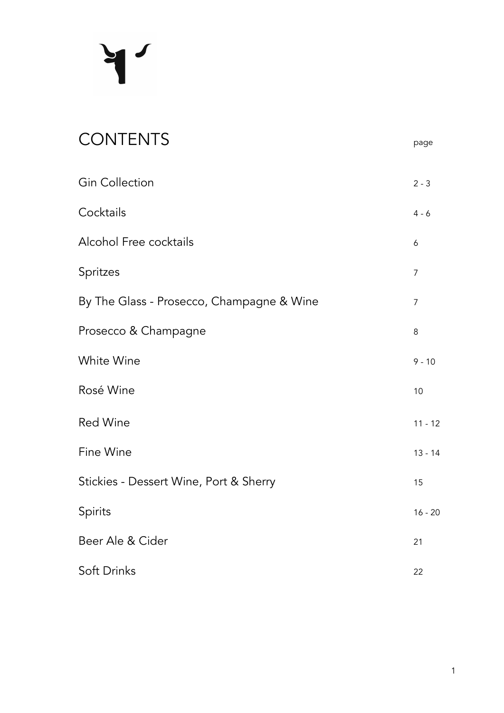# $\mathbf{H}$

| <b>CONTENTS</b>                           | page           |
|-------------------------------------------|----------------|
| <b>Gin Collection</b>                     | $2 - 3$        |
| Cocktails                                 | $4 - 6$        |
| <b>Alcohol Free cocktails</b>             | 6              |
| Spritzes                                  | $\overline{7}$ |
| By The Glass - Prosecco, Champagne & Wine | $\overline{7}$ |
| Prosecco & Champagne                      | 8              |
| White Wine                                | $9 - 10$       |
| Rosé Wine                                 | 10             |
| <b>Red Wine</b>                           | $11 - 12$      |
| Fine Wine                                 | $13 - 14$      |
| Stickies - Dessert Wine, Port & Sherry    | 15             |
| Spirits                                   | $16 - 20$      |
| Beer Ale & Cider                          | 21             |
| Soft Drinks                               | 22             |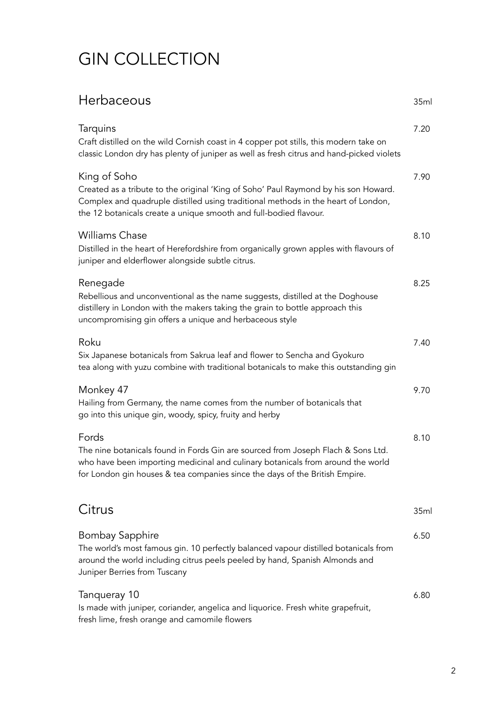# GIN COLLECTION

## Herbaceous 35ml

| Tarquins<br>Craft distilled on the wild Cornish coast in 4 copper pot stills, this modern take on<br>classic London dry has plenty of juniper as well as fresh citrus and hand-picked violets                                                                 | 7.20             |
|---------------------------------------------------------------------------------------------------------------------------------------------------------------------------------------------------------------------------------------------------------------|------------------|
| King of Soho<br>Created as a tribute to the original 'King of Soho' Paul Raymond by his son Howard.<br>Complex and quadruple distilled using traditional methods in the heart of London,<br>the 12 botanicals create a unique smooth and full-bodied flavour. | 7.90             |
| <b>Williams Chase</b><br>Distilled in the heart of Herefordshire from organically grown apples with flavours of<br>juniper and elderflower alongside subtle citrus.                                                                                           | 8.10             |
| Renegade<br>Rebellious and unconventional as the name suggests, distilled at the Doghouse<br>distillery in London with the makers taking the grain to bottle approach this<br>uncompromising gin offers a unique and herbaceous style                         | 8.25             |
| Roku<br>Six Japanese botanicals from Sakrua leaf and flower to Sencha and Gyokuro<br>tea along with yuzu combine with traditional botanicals to make this outstanding gin                                                                                     | 7.40             |
| Monkey 47<br>Hailing from Germany, the name comes from the number of botanicals that<br>go into this unique gin, woody, spicy, fruity and herby                                                                                                               | 9.70             |
| Fords<br>The nine botanicals found in Fords Gin are sourced from Joseph Flach & Sons Ltd.<br>who have been importing medicinal and culinary botanicals from around the world<br>for London gin houses & tea companies since the days of the British Empire.   | 8.10             |
| Citrus                                                                                                                                                                                                                                                        | 35 <sub>ml</sub> |
| Bombay Sapphire<br>The world's most famous gin. 10 perfectly balanced vapour distilled botanicals from<br>around the world including citrus peels peeled by hand, Spanish Almonds and<br>Juniper Berries from Tuscany                                         | 6.50             |
| Tanqueray 10<br>Is made with juniper, coriander, angelica and liquorice. Fresh white grapefruit,<br>fresh lime, fresh orange and camomile flowers                                                                                                             | 6.80             |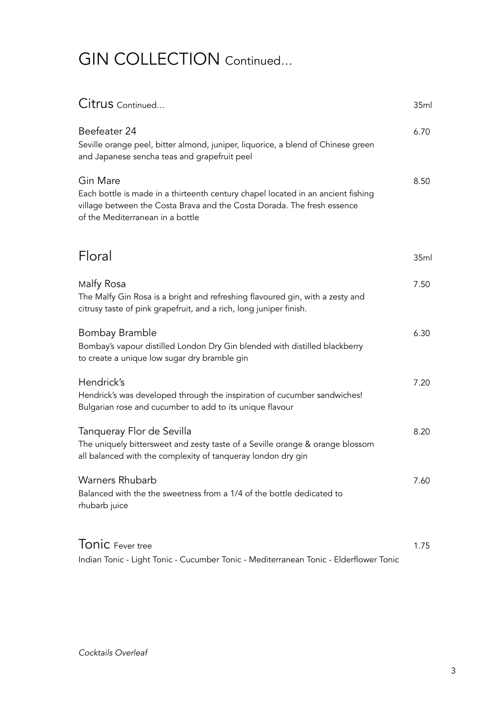# GIN COLLECTION Continued…

| Citrus Continued                                                                                                                                                                                            | 35ml |
|-------------------------------------------------------------------------------------------------------------------------------------------------------------------------------------------------------------|------|
| Beefeater 24<br>Seville orange peel, bitter almond, juniper, liquorice, a blend of Chinese green<br>and Japanese sencha teas and grapefruit peel                                                            | 6.70 |
| Gin Mare<br>Each bottle is made in a thirteenth century chapel located in an ancient fishing<br>village between the Costa Brava and the Costa Dorada. The fresh essence<br>of the Mediterranean in a bottle | 8.50 |
| Floral                                                                                                                                                                                                      | 35ml |
| Malfy Rosa<br>The Malfy Gin Rosa is a bright and refreshing flavoured gin, with a zesty and<br>citrusy taste of pink grapefruit, and a rich, long juniper finish.                                           | 7.50 |
| Bombay Bramble<br>Bombay's vapour distilled London Dry Gin blended with distilled blackberry<br>to create a unique low sugar dry bramble gin                                                                | 6.30 |
| Hendrick's<br>Hendrick's was developed through the inspiration of cucumber sandwiches!<br>Bulgarian rose and cucumber to add to its unique flavour                                                          | 7.20 |
| Tanqueray Flor de Sevilla<br>The uniquely bittersweet and zesty taste of a Seville orange & orange blossom<br>all balanced with the complexity of tanqueray london dry gin                                  | 8.20 |
| Warners Rhubarb<br>Balanced with the the sweetness from a 1/4 of the bottle dedicated to<br>rhubarb juice                                                                                                   | 7.60 |
| Tonic Fever tree<br>Indian Tonic - Light Tonic - Cucumber Tonic - Mediterranean Tonic - Elderflower Tonic                                                                                                   | 1.75 |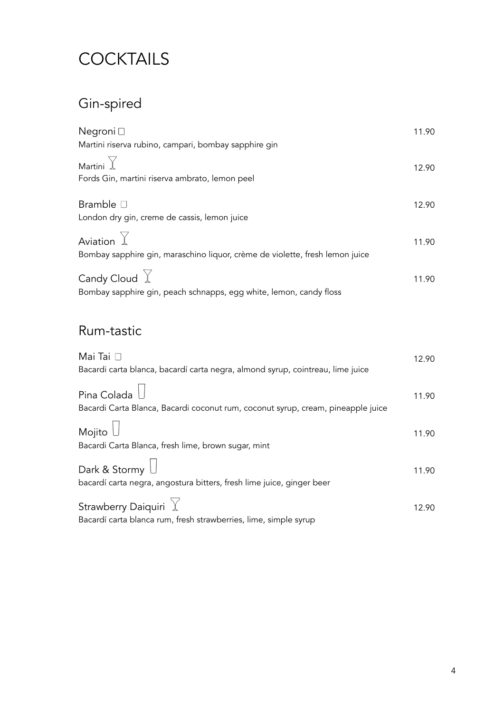# **COCKTAILS**

# Gin-spired

| Negroni □                                                                    | 11.90 |
|------------------------------------------------------------------------------|-------|
| Martini riserva rubino, campari, bombay sapphire gin                         |       |
| Martini $\mathbb {Y}$                                                        | 12.90 |
| Fords Gin, martini riserva ambrato, lemon peel                               |       |
| Bramble □                                                                    | 12.90 |
| London dry gin, creme de cassis, lemon juice                                 |       |
| Aviation $\mathbb {Y}$                                                       | 11.90 |
| Bombay sapphire gin, maraschino liquor, crème de violette, fresh lemon juice |       |
| Candy Cloud $\,\overline{\mathbb{Y}}\,$                                      | 11.90 |
| Bombay sapphire gin, peach schnapps, egg white, lemon, candy floss           |       |

#### Rum-tastic

| Mai Tai $\square$                                                                                          | 12.90 |
|------------------------------------------------------------------------------------------------------------|-------|
| Bacardi carta blanca, bacardí carta negra, almond syrup, cointreau, lime juice                             |       |
| Pina Colada $\bigcup$                                                                                      | 11.90 |
| Bacardi Carta Blanca, Bacardi coconut rum, coconut syrup, cream, pineapple juice                           |       |
| Mojito $\bigcup$                                                                                           | 11.90 |
| Bacardi Carta Blanca, fresh lime, brown sugar, mint                                                        |       |
| Dark & Stormy $\Box$<br>bacardí carta negra, angostura bitters, fresh lime juice, ginger beer              | 11.90 |
| Strawberry Daiquiri $\, \mathbb{Y} \,$<br>Bacardí carta blanca rum, fresh strawberries, lime, simple syrup | 12.90 |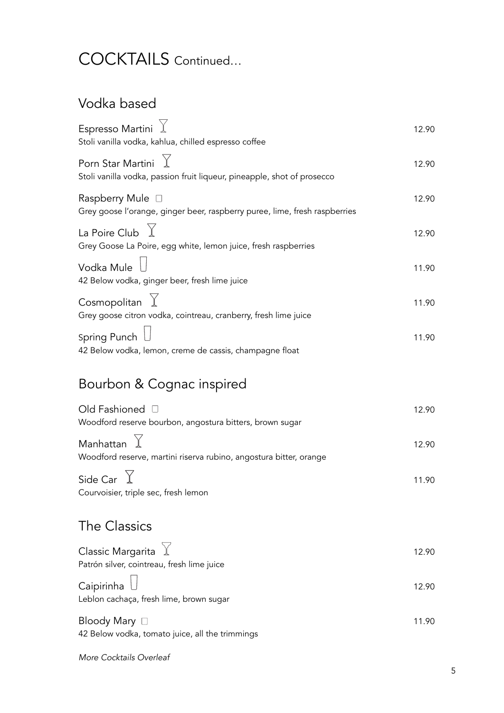# COCKTAILS Continued...

## Vodka based

| Espresso Martini<br>Stoli vanilla vodka, kahlua, chilled espresso coffee                            | 12.90 |
|-----------------------------------------------------------------------------------------------------|-------|
| Porn Star Martini $\chi$<br>Stoli vanilla vodka, passion fruit liqueur, pineapple, shot of prosecco | 12.90 |
| Raspberry Mule □<br>Grey goose l'orange, ginger beer, raspberry puree, lime, fresh raspberries      | 12.90 |
| La Poire Club $\chi$<br>Grey Goose La Poire, egg white, lemon juice, fresh raspberries              | 12.90 |
| Vodka Mule<br>42 Below vodka, ginger beer, fresh lime juice                                         | 11.90 |
| Cosmopolitan<br>Grey goose citron vodka, cointreau, cranberry, fresh lime juice                     | 11.90 |
| Spring Punch<br>42 Below vodka, lemon, creme de cassis, champagne float                             | 11.90 |
| Bourbon & Cognac inspired                                                                           |       |
| Old Fashioned [<br>Woodford reserve bourbon, angostura bitters, brown sugar                         | 12.90 |
| Manhattan<br>Woodford reserve, martini riserva rubino, angostura bitter, orange                     | 12.90 |
| Side Car $\angle$<br>Courvoisier, triple sec, fresh lemon                                           | 11.90 |
| The Classics                                                                                        |       |
| Classic Margarita $\overrightarrow{X}$<br>Patrón silver, cointreau, fresh lime juice                | 12.90 |
| Caipirinha<br>Leblon cachaça, fresh lime, brown sugar                                               | 12.90 |

| Bloody Mary $\Box$                              | 11.90 |
|-------------------------------------------------|-------|
| 42 Below vodka, tomato juice, all the trimmings |       |

More Cocktails Overleaf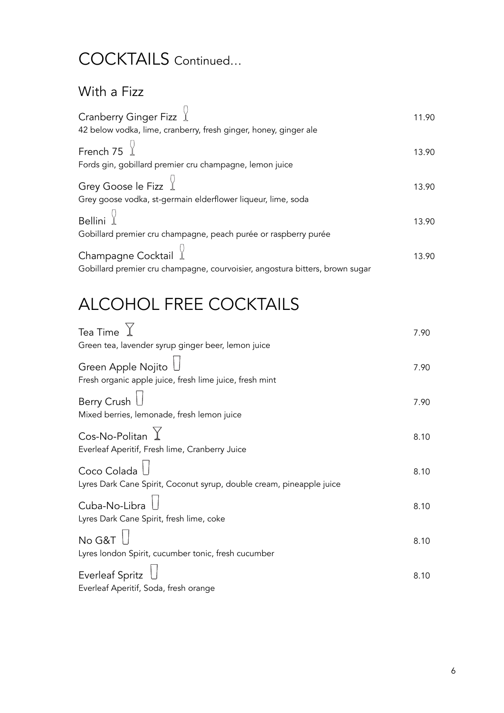# COCKTAILS Continued…

#### With a Fizz

| Cranberry Ginger Fizz $\mathcal{L}$                                                                              | 11.90 |
|------------------------------------------------------------------------------------------------------------------|-------|
| 42 below vodka, lime, cranberry, fresh ginger, honey, ginger ale                                                 |       |
| French 75 $\frac{1}{2}$                                                                                          | 13.90 |
| Fords gin, gobillard premier cru champagne, lemon juice                                                          |       |
| Grey Goose le Fizz $\frac{1}{2}$                                                                                 | 13.90 |
| Grey goose vodka, st-germain elderflower liqueur, lime, soda                                                     |       |
| Bellini $\frac{1}{2}$                                                                                            | 13.90 |
| Gobillard premier cru champagne, peach purée or raspberry purée                                                  |       |
| Champagne Cocktail $\frac{1}{2}$<br>Gobillard premier cru champagne, courvoisier, angostura bitters, brown sugar | 13.90 |
|                                                                                                                  |       |

# ALCOHOL FREE COCKTAILS

 $\overline{\phantom{a}}$ 

| Tea Time                                                             | 7.90 |
|----------------------------------------------------------------------|------|
| Green tea, lavender syrup ginger beer, lemon juice                   |      |
| Green Apple Nojito $\mathsf L$                                       | 7.90 |
| Fresh organic apple juice, fresh lime juice, fresh mint              |      |
| <b>Berry Crush</b>                                                   | 7.90 |
| Mixed berries, lemonade, fresh lemon juice                           |      |
| Cos-No-Politan $\Upsilon$                                            | 8.10 |
| Everleaf Aperitif, Fresh lime, Cranberry Juice                       |      |
| Coco Colada <sup>1</sup>                                             | 8.10 |
| Lyres Dark Cane Spirit, Coconut syrup, double cream, pineapple juice |      |
| Cuba-No-Libra                                                        | 8.10 |
| Lyres Dark Cane Spirit, fresh lime, coke                             |      |
| No G&T $\overline{\phantom{a}}$                                      | 8.10 |
| Lyres london Spirit, cucumber tonic, fresh cucumber                  |      |
| Everleaf Spritz                                                      | 8.10 |
| Everleaf Aperitif, Soda, fresh orange                                |      |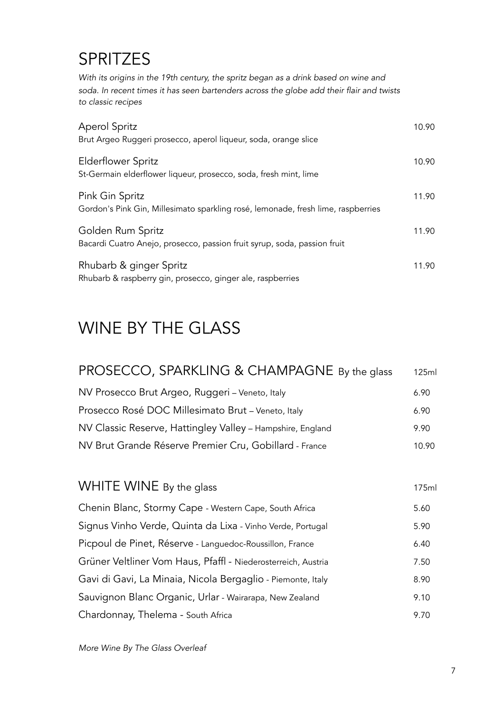# **SPRITZES**

*With its origins in the 19th century, the spritz began as a drink based on wine and soda. In recent times it has seen bartenders across the globe add their flair and twists to classic recipes* 

| <b>Aperol Spritz</b><br>Brut Argeo Ruggeri prosecco, aperol liqueur, soda, orange slice             | 10.90 |
|-----------------------------------------------------------------------------------------------------|-------|
| Elderflower Spritz<br>St-Germain elderflower liqueur, prosecco, soda, fresh mint, lime              | 10.90 |
| Pink Gin Spritz<br>Gordon's Pink Gin, Millesimato sparkling rosé, lemonade, fresh lime, raspberries | 11.90 |
| Golden Rum Spritz<br>Bacardi Cuatro Anejo, prosecco, passion fruit syrup, soda, passion fruit       | 11.90 |
| Rhubarb & ginger Spritz<br>Rhubarb & raspberry gin, prosecco, ginger ale, raspberries               | 11.90 |

# WINE BY THE GLASS

| PROSECCO, SPARKLING & CHAMPAGNE By the glass               | 125ml |
|------------------------------------------------------------|-------|
| NV Prosecco Brut Argeo, Ruggeri - Veneto, Italy            | 6.90  |
| Prosecco Rosé DOC Millesimato Brut - Veneto, Italy         | 6.90  |
| NV Classic Reserve, Hattingley Valley - Hampshire, England | 9.90  |
| NV Brut Grande Réserve Premier Cru, Gobillard - France     | 10.90 |

| WHITE WINE By the glass                                       | 175ml |
|---------------------------------------------------------------|-------|
| Chenin Blanc, Stormy Cape - Western Cape, South Africa        | 5.60  |
| Signus Vinho Verde, Quinta da Lixa - Vinho Verde, Portugal    | 5.90  |
| Picpoul de Pinet, Réserve - Languedoc-Roussillon, France      | 6.40  |
| Grüner Veltliner Vom Haus, Pfaffl - Niederosterreich, Austria | 7.50  |
| Gavi di Gavi, La Minaia, Nicola Bergaglio - Piemonte, Italy   | 8.90  |
| Sauvignon Blanc Organic, Urlar - Wairarapa, New Zealand       | 9.10  |
| Chardonnay, Thelema - South Africa                            | 9.70  |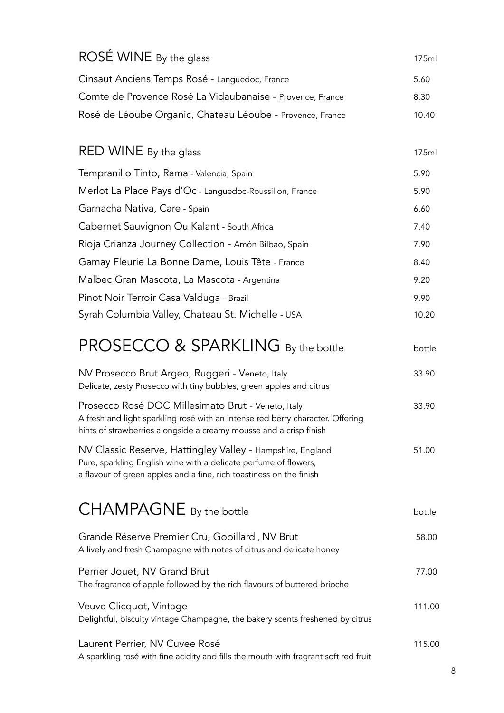| ROSÉ WINE By the glass                                                                                                                                                                                     | 175ml  |
|------------------------------------------------------------------------------------------------------------------------------------------------------------------------------------------------------------|--------|
| Cinsaut Anciens Temps Rosé - Languedoc, France                                                                                                                                                             | 5.60   |
| Comte de Provence Rosé La Vidaubanaise - Provence, France                                                                                                                                                  | 8.30   |
| Rosé de Léoube Organic, Chateau Léoube - Provence, France                                                                                                                                                  | 10.40  |
|                                                                                                                                                                                                            |        |
| RED WINE By the glass                                                                                                                                                                                      | 175ml  |
| Tempranillo Tinto, Rama - Valencia, Spain                                                                                                                                                                  | 5.90   |
| Merlot La Place Pays d'Oc - Languedoc-Roussillon, France                                                                                                                                                   | 5.90   |
| Garnacha Nativa, Care - Spain                                                                                                                                                                              | 6.60   |
| Cabernet Sauvignon Ou Kalant - South Africa                                                                                                                                                                | 7.40   |
| Rioja Crianza Journey Collection - Amón Bilbao, Spain                                                                                                                                                      | 7.90   |
| Gamay Fleurie La Bonne Dame, Louis Tête - France                                                                                                                                                           | 8.40   |
| Malbec Gran Mascota, La Mascota - Argentina                                                                                                                                                                | 9.20   |
| Pinot Noir Terroir Casa Valduga - Brazil                                                                                                                                                                   | 9.90   |
| Syrah Columbia Valley, Chateau St. Michelle - USA                                                                                                                                                          | 10.20  |
| PROSECCO & SPARKLING By the bottle                                                                                                                                                                         | bottle |
| NV Prosecco Brut Argeo, Ruggeri - Veneto, Italy<br>Delicate, zesty Prosecco with tiny bubbles, green apples and citrus                                                                                     | 33.90  |
| Prosecco Rosé DOC Millesimato Brut - Veneto, Italy<br>A fresh and light sparkling rosé with an intense red berry character. Offering<br>hints of strawberries alongside a creamy mousse and a crisp finish | 33.90  |
| NV Classic Reserve, Hattingley Valley - Hampshire, England<br>Pure, sparkling English wine with a delicate perfume of flowers,<br>a flavour of green apples and a fine, rich toastiness on the finish      | 51.00  |
| CHAMPAGNE By the bottle                                                                                                                                                                                    | bottle |
| Grande Réserve Premier Cru, Gobillard, NV Brut<br>A lively and fresh Champagne with notes of citrus and delicate honey                                                                                     | 58.00  |
| Perrier Jouet, NV Grand Brut<br>The fragrance of apple followed by the rich flavours of buttered brioche                                                                                                   | 77.00  |
| Veuve Clicquot, Vintage<br>Delightful, biscuity vintage Champagne, the bakery scents freshened by citrus                                                                                                   | 111.00 |
| Laurent Perrier, NV Cuvee Rosé<br>A sparkling rosé with fine acidity and fills the mouth with fragrant soft red fruit                                                                                      | 115.00 |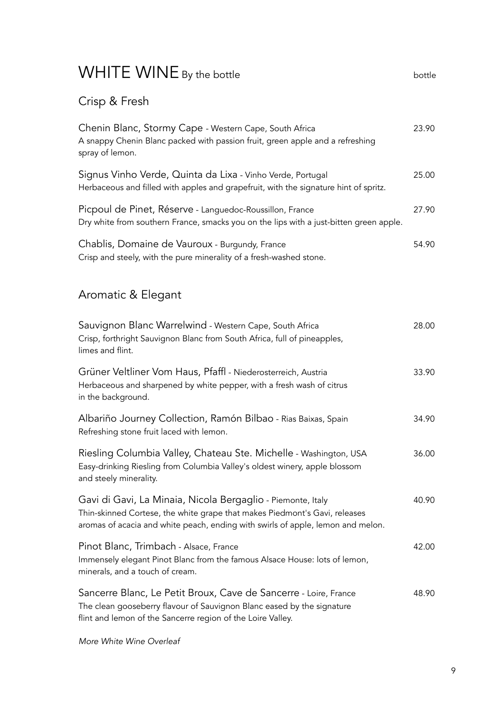# WHITE WINE By the bottle **bottle** bottle bottle

Crisp & Fresh

| Chenin Blanc, Stormy Cape - Western Cape, South Africa<br>A snappy Chenin Blanc packed with passion fruit, green apple and a refreshing<br>spray of lemon.                                                                   | 23.90 |
|------------------------------------------------------------------------------------------------------------------------------------------------------------------------------------------------------------------------------|-------|
| Signus Vinho Verde, Quinta da Lixa - Vinho Verde, Portugal<br>Herbaceous and filled with apples and grapefruit, with the signature hint of spritz.                                                                           | 25.00 |
| Picpoul de Pinet, Réserve - Languedoc-Roussillon, France<br>Dry white from southern France, smacks you on the lips with a just-bitten green apple.                                                                           | 27.90 |
| Chablis, Domaine de Vauroux - Burgundy, France<br>Crisp and steely, with the pure minerality of a fresh-washed stone.                                                                                                        | 54.90 |
| Aromatic & Elegant                                                                                                                                                                                                           |       |
| Sauvignon Blanc Warrelwind - Western Cape, South Africa<br>Crisp, forthright Sauvignon Blanc from South Africa, full of pineapples,<br>limes and flint.                                                                      | 28.00 |
| Grüner Veltliner Vom Haus, Pfaffl - Niederosterreich, Austria<br>Herbaceous and sharpened by white pepper, with a fresh wash of citrus<br>in the background.                                                                 | 33.90 |
| Albariño Journey Collection, Ramón Bilbao - Rias Baixas, Spain<br>Refreshing stone fruit laced with lemon.                                                                                                                   | 34.90 |
| Riesling Columbia Valley, Chateau Ste. Michelle - Washington, USA<br>Easy-drinking Riesling from Columbia Valley's oldest winery, apple blossom<br>and steely minerality.                                                    | 36.00 |
| Gavi di Gavi, La Minaia, Nicola Bergaglio - Piemonte, Italy<br>Thin-skinned Cortese, the white grape that makes Piedmont's Gavi, releases<br>aromas of acacia and white peach, ending with swirls of apple, lemon and melon. | 40.90 |
| Pinot Blanc, Trimbach - Alsace, France<br>Immensely elegant Pinot Blanc from the famous Alsace House: lots of lemon,<br>minerals, and a touch of cream.                                                                      | 42.00 |
| Sancerre Blanc, Le Petit Broux, Cave de Sancerre - Loire, France<br>The clean gooseberry flavour of Sauvignon Blanc eased by the signature<br>flint and lemon of the Sancerre region of the Loire Valley.                    | 48.90 |

*More White Wine Overleaf*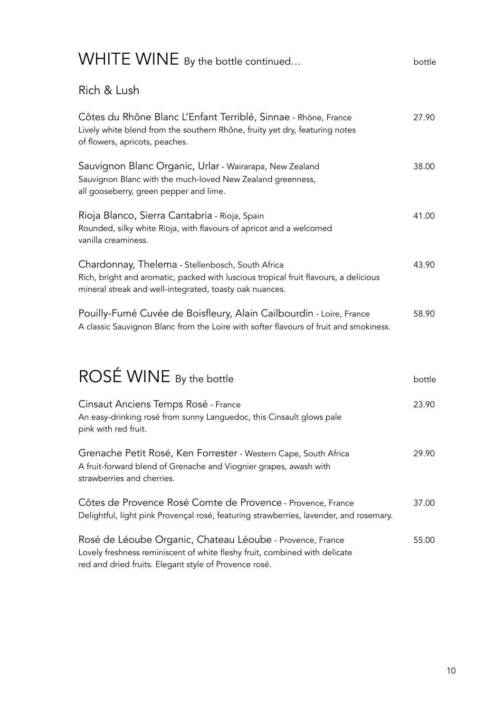| WHITE WINE By the bottle continued                                                                                                                                                                  | bottle |
|-----------------------------------------------------------------------------------------------------------------------------------------------------------------------------------------------------|--------|
| Rich & Lush                                                                                                                                                                                         |        |
| Côtes du Rhône Blanc L'Enfant Terriblé, Sinnae - Rhône, France<br>Lively white blend from the southern Rhône, fruity yet dry, featuring notes<br>of flowers, apricots, peaches.                     | 27.90  |
| Sauvignon Blanc Organic, Urlar - Wairarapa, New Zealand<br>Sauvignon Blanc with the much-loved New Zealand greenness,<br>all gooseberry, green pepper and lime.                                     | 38.00  |
| Rioja Blanco, Sierra Cantabria - Rioja, Spain<br>Rounded, silky white Rioja, with flavours of apricot and a welcomed<br>vanilla creaminess.                                                         | 41.00  |
| Chardonnay, Thelema - Stellenbosch, South Africa<br>Rich, bright and aromatic, packed with luscious tropical fruit flavours, a delicious<br>mineral streak and well-integrated, toasty oak nuances. | 43.90  |
| Pouilly-Fumé Cuvée de Boisfleury, Alain Cailbourdin - Loire, France<br>A classic Sauvignon Blanc from the Loire with softer flavours of fruit and smokiness.                                        | 58.90  |
| ROSÉ WINE By the bottle                                                                                                                                                                             | bottle |
| Cinsaut Anciens Temps Rosé - France<br>An easy-drinking rosé from sunny Languedoc, this Cinsault glows pale<br>pink with red fruit.                                                                 | 23.90  |
| Grenache Petit Rosé, Ken Forrester - Western Cape, South Africa<br>A fruit-forward blend of Grenache and Viognier grapes, awash with<br>strawberries and cherries.                                  | 29.90  |
| Côtes de Provence Rosé Comte de Provence - Provence, France<br>Delightful, light pink Provençal rosé, featuring strawberries, lavender, and rosemary.                                               | 37.00  |
| Rosé de Léoube Organic, Chateau Léoube - Provence, France<br>Lovely freshness reminiscent of white fleshy fruit, combined with delicate<br>red and dried fruits. Elegant style of Provence rosé.    | 55.00  |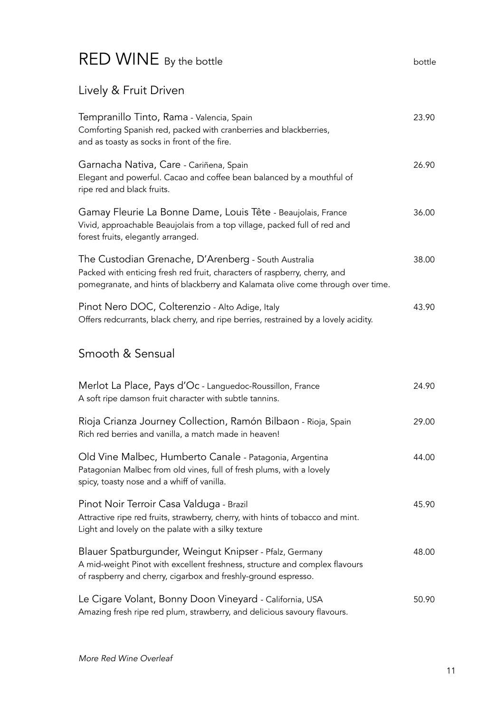## RED WINE By the bottle bottle bottle

#### Lively & Fruit Driven

| Tempranillo Tinto, Rama - Valencia, Spain<br>Comforting Spanish red, packed with cranberries and blackberries,<br>and as toasty as socks in front of the fire.                                                        | 23.90 |
|-----------------------------------------------------------------------------------------------------------------------------------------------------------------------------------------------------------------------|-------|
| Garnacha Nativa, Care - Cariñena, Spain<br>Elegant and powerful. Cacao and coffee bean balanced by a mouthful of<br>ripe red and black fruits.                                                                        | 26.90 |
| Gamay Fleurie La Bonne Dame, Louis Tête - Beaujolais, France<br>Vivid, approachable Beaujolais from a top village, packed full of red and<br>forest fruits, elegantly arranged.                                       | 36.00 |
| The Custodian Grenache, D'Arenberg - South Australia<br>Packed with enticing fresh red fruit, characters of raspberry, cherry, and<br>pomegranate, and hints of blackberry and Kalamata olive come through over time. | 38.00 |
| Pinot Nero DOC, Colterenzio - Alto Adige, Italy<br>Offers redcurrants, black cherry, and ripe berries, restrained by a lovely acidity.                                                                                | 43.90 |
| Smooth & Sensual                                                                                                                                                                                                      |       |
| Merlot La Place, Pays d'Oc - Languedoc-Roussillon, France<br>A soft ripe damson fruit character with subtle tannins.                                                                                                  | 24.90 |
| Rioja Crianza Journey Collection, Ramón Bilbaon - Rioja, Spain<br>Rich red berries and vanilla, a match made in heaven!                                                                                               | 29.00 |
| Old Vine Malbec, Humberto Canale - Patagonia, Argentina<br>Patagonian Malbec from old vines, full of fresh plums, with a lovely<br>spicy, toasty nose and a whiff of vanilla.                                         | 44.00 |
| Pinot Noir Terroir Casa Valduga - Brazil<br>Attractive ripe red fruits, strawberry, cherry, with hints of tobacco and mint.<br>Light and lovely on the palate with a silky texture                                    | 45.90 |
| Blauer Spatburgunder, Weingut Knipser - Pfalz, Germany<br>A mid-weight Pinot with excellent freshness, structure and complex flavours<br>of raspberry and cherry, cigarbox and freshly-ground espresso.               | 48.00 |
| Le Cigare Volant, Bonny Doon Vineyard - California, USA<br>Amazing fresh ripe red plum, strawberry, and delicious savoury flavours.                                                                                   | 50.90 |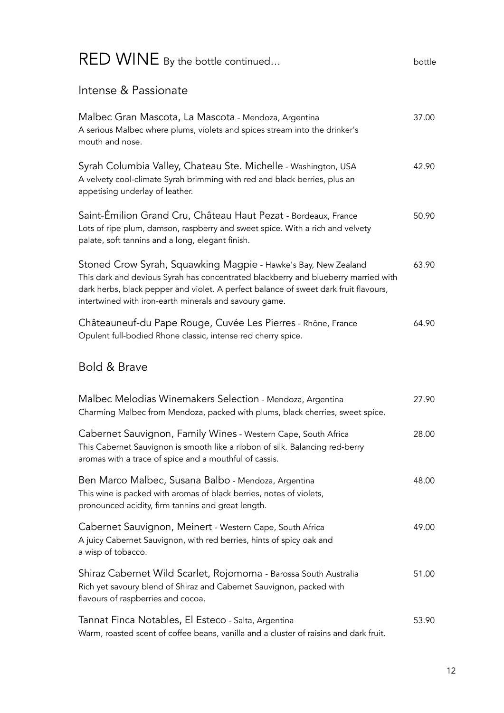| RED WINE By the bottle continued                                                                                                                                                                                                                                                                       | bottle |
|--------------------------------------------------------------------------------------------------------------------------------------------------------------------------------------------------------------------------------------------------------------------------------------------------------|--------|
| Intense & Passionate                                                                                                                                                                                                                                                                                   |        |
| Malbec Gran Mascota, La Mascota - Mendoza, Argentina<br>A serious Malbec where plums, violets and spices stream into the drinker's<br>mouth and nose.                                                                                                                                                  | 37.00  |
| Syrah Columbia Valley, Chateau Ste. Michelle - Washington, USA<br>A velvety cool-climate Syrah brimming with red and black berries, plus an<br>appetising underlay of leather.                                                                                                                         | 42.90  |
| Saint-Émilion Grand Cru, Château Haut Pezat - Bordeaux, France<br>Lots of ripe plum, damson, raspberry and sweet spice. With a rich and velvety<br>palate, soft tannins and a long, elegant finish.                                                                                                    | 50.90  |
| Stoned Crow Syrah, Squawking Magpie - Hawke's Bay, New Zealand<br>This dark and devious Syrah has concentrated blackberry and blueberry married with<br>dark herbs, black pepper and violet. A perfect balance of sweet dark fruit flavours,<br>intertwined with iron-earth minerals and savoury game. | 63.90  |
| Châteauneuf-du Pape Rouge, Cuvée Les Pierres - Rhône, France<br>Opulent full-bodied Rhone classic, intense red cherry spice.                                                                                                                                                                           | 64.90  |
| Bold & Brave                                                                                                                                                                                                                                                                                           |        |
| Malbec Melodias Winemakers Selection - Mendoza, Argentina<br>Charming Malbec from Mendoza, packed with plums, black cherries, sweet spice.                                                                                                                                                             | 27.90  |
| Cabernet Sauvignon, Family Wines - Western Cape, South Africa<br>This Cabernet Sauvignon is smooth like a ribbon of silk. Balancing red-berry<br>aromas with a trace of spice and a mouthful of cassis.                                                                                                | 28.00  |
| Ben Marco Malbec, Susana Balbo - Mendoza, Argentina<br>This wine is packed with aromas of black berries, notes of violets,<br>pronounced acidity, firm tannins and great length.                                                                                                                       | 48.00  |
| Cabernet Sauvignon, Meinert - Western Cape, South Africa<br>A juicy Cabernet Sauvignon, with red berries, hints of spicy oak and<br>a wisp of tobacco.                                                                                                                                                 | 49.00  |
| Shiraz Cabernet Wild Scarlet, Rojomoma - Barossa South Australia<br>Rich yet savoury blend of Shiraz and Cabernet Sauvignon, packed with<br>flavours of raspberries and cocoa.                                                                                                                         | 51.00  |
| Tannat Finca Notables, El Esteco - Salta, Argentina<br>Warm, roasted scent of coffee beans, vanilla and a cluster of raisins and dark fruit.                                                                                                                                                           | 53.90  |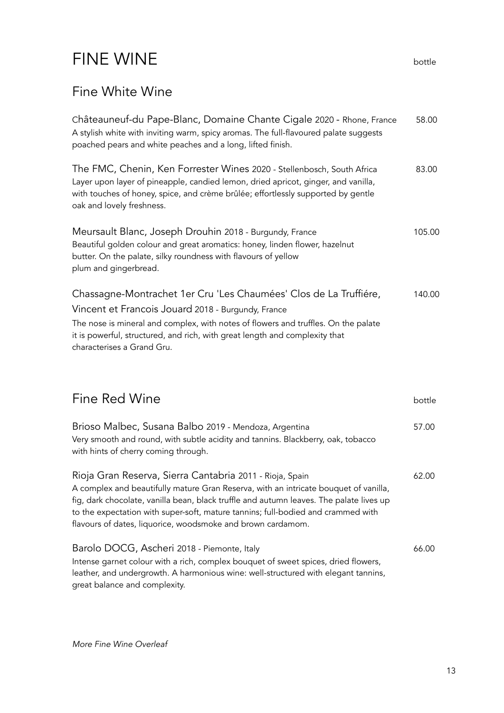# FINE WINE **bottle**

### Fine White Wine

| Châteauneuf-du Pape-Blanc, Domaine Chante Cigale 2020 - Rhone, France<br>A stylish white with inviting warm, spicy aromas. The full-flavoured palate suggests<br>poached pears and white peaches and a long, lifted finish.                                                                                                | 58.00  |
|----------------------------------------------------------------------------------------------------------------------------------------------------------------------------------------------------------------------------------------------------------------------------------------------------------------------------|--------|
| The FMC, Chenin, Ken Forrester Wines 2020 - Stellenbosch, South Africa<br>Layer upon layer of pineapple, candied lemon, dried apricot, ginger, and vanilla,<br>with touches of honey, spice, and crème brûlée; effortlessly supported by gentle<br>oak and lovely freshness.                                               | 83.00  |
| Meursault Blanc, Joseph Drouhin 2018 - Burgundy, France<br>Beautiful golden colour and great aromatics: honey, linden flower, hazelnut<br>butter. On the palate, silky roundness with flavours of yellow<br>plum and gingerbread.                                                                                          | 105.00 |
| Chassagne-Montrachet 1er Cru 'Les Chaumées' Clos de La Truffiére,<br>Vincent et Francois Jouard 2018 - Burgundy, France<br>The nose is mineral and complex, with notes of flowers and truffles. On the palate<br>it is powerful, structured, and rich, with great length and complexity that<br>characterises a Grand Gru. | 140.00 |

| Fine Red Wine                                                                                                                                                                                                                                                                                                                                                                                  | bottle |
|------------------------------------------------------------------------------------------------------------------------------------------------------------------------------------------------------------------------------------------------------------------------------------------------------------------------------------------------------------------------------------------------|--------|
| Brioso Malbec, Susana Balbo 2019 - Mendoza, Argentina<br>Very smooth and round, with subtle acidity and tannins. Blackberry, oak, tobacco<br>with hints of cherry coming through.                                                                                                                                                                                                              | 57.00  |
| Rioja Gran Reserva, Sierra Cantabria 2011 - Rioja, Spain<br>A complex and beautifully mature Gran Reserva, with an intricate bouquet of vanilla,<br>fig, dark chocolate, vanilla bean, black truffle and autumn leaves. The palate lives up<br>to the expectation with super-soft, mature tannins; full-bodied and crammed with<br>flavours of dates, liquorice, woodsmoke and brown cardamom. | 62.00  |
| Barolo DOCG, Ascheri 2018 - Piemonte, Italy<br>Intense garnet colour with a rich, complex bouquet of sweet spices, dried flowers,<br>leather, and undergrowth. A harmonious wine: well-structured with elegant tannins,<br>great balance and complexity.                                                                                                                                       | 66.00  |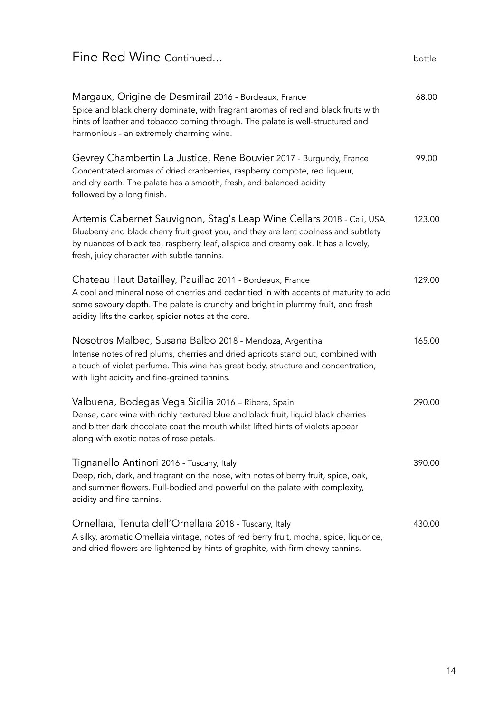#### Fine Red Wine Continued...

| Margaux, Origine de Desmirail 2016 - Bordeaux, France<br>Spice and black cherry dominate, with fragrant aromas of red and black fruits with<br>hints of leather and tobacco coming through. The palate is well-structured and<br>harmonious - an extremely charming wine.                         | 68.00  |
|---------------------------------------------------------------------------------------------------------------------------------------------------------------------------------------------------------------------------------------------------------------------------------------------------|--------|
| Gevrey Chambertin La Justice, Rene Bouvier 2017 - Burgundy, France<br>Concentrated aromas of dried cranberries, raspberry compote, red liqueur,<br>and dry earth. The palate has a smooth, fresh, and balanced acidity<br>followed by a long finish.                                              | 99.00  |
| Artemis Cabernet Sauvignon, Stag's Leap Wine Cellars 2018 - Cali, USA<br>Blueberry and black cherry fruit greet you, and they are lent coolness and subtlety<br>by nuances of black tea, raspberry leaf, allspice and creamy oak. It has a lovely,<br>fresh, juicy character with subtle tannins. | 123.00 |
| Chateau Haut Batailley, Pauillac 2011 - Bordeaux, France<br>A cool and mineral nose of cherries and cedar tied in with accents of maturity to add<br>some savoury depth. The palate is crunchy and bright in plummy fruit, and fresh<br>acidity lifts the darker, spicier notes at the core.      | 129.00 |
| Nosotros Malbec, Susana Balbo 2018 - Mendoza, Argentina<br>Intense notes of red plums, cherries and dried apricots stand out, combined with<br>a touch of violet perfume. This wine has great body, structure and concentration,<br>with light acidity and fine-grained tannins.                  | 165.00 |
| Valbuena, Bodegas Vega Sicilia 2016 - Ribera, Spain<br>Dense, dark wine with richly textured blue and black fruit, liquid black cherries<br>and bitter dark chocolate coat the mouth whilst lifted hints of violets appear<br>along with exotic notes of rose petals.                             | 290.00 |
| Tignanello Antinori 2016 - Tuscany, Italy<br>Deep, rich, dark, and fragrant on the nose, with notes of berry fruit, spice, oak,<br>and summer flowers. Full-bodied and powerful on the palate with complexity,<br>acidity and fine tannins.                                                       | 390.00 |
| Ornellaia, Tenuta dell'Ornellaia 2018 - Tuscany, Italy<br>A silky, aromatic Ornellaia vintage, notes of red berry fruit, mocha, spice, liquorice,<br>and dried flowers are lightened by hints of graphite, with firm chewy tannins.                                                               | 430.00 |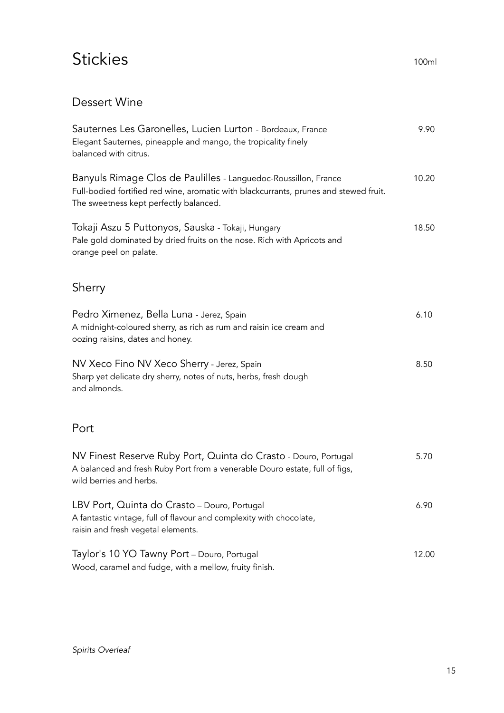## Stickies 100ml

#### Dessert Wine

| Sauternes Les Garonelles, Lucien Lurton - Bordeaux, France<br>Elegant Sauternes, pineapple and mango, the tropicality finely<br>balanced with citrus.                                              | 9.90  |
|----------------------------------------------------------------------------------------------------------------------------------------------------------------------------------------------------|-------|
| Banyuls Rimage Clos de Paulilles - Languedoc-Roussillon, France<br>Full-bodied fortified red wine, aromatic with blackcurrants, prunes and stewed fruit.<br>The sweetness kept perfectly balanced. | 10.20 |
| Tokaji Aszu 5 Puttonyos, Sauska - Tokaji, Hungary<br>Pale gold dominated by dried fruits on the nose. Rich with Apricots and<br>orange peel on palate.                                             | 18.50 |
| Sherry                                                                                                                                                                                             |       |
| Pedro Ximenez, Bella Luna - Jerez, Spain<br>A midnight-coloured sherry, as rich as rum and raisin ice cream and<br>oozing raisins, dates and honey.                                                | 6.10  |
| NV Xeco Fino NV Xeco Sherry - Jerez, Spain<br>Sharp yet delicate dry sherry, notes of nuts, herbs, fresh dough<br>and almonds.                                                                     | 8.50  |
| Port                                                                                                                                                                                               |       |
| NV Finest Reserve Ruby Port, Quinta do Crasto - Douro, Portugal<br>A balanced and fresh Ruby Port from a venerable Douro estate, full of figs,<br>wild berries and herbs.                          | 5.70  |
| LBV Port, Quinta do Crasto - Douro, Portugal<br>A fantastic vintage, full of flavour and complexity with chocolate,<br>raisin and fresh vegetal elements.                                          | 6.90  |
| Taylor's 10 YO Tawny Port - Douro, Portugal<br>Wood, caramel and fudge, with a mellow, fruity finish.                                                                                              | 12.00 |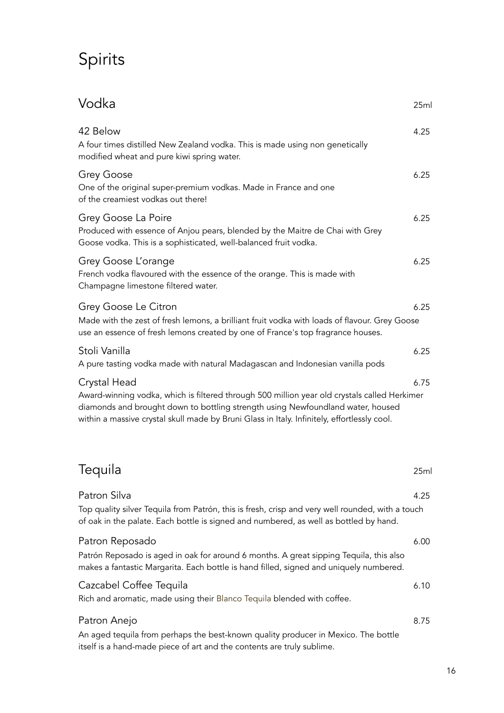# Spirits

| Vodka                                                                                                                                                                                                                                                                                          | 25ml |
|------------------------------------------------------------------------------------------------------------------------------------------------------------------------------------------------------------------------------------------------------------------------------------------------|------|
| 42 Below<br>A four times distilled New Zealand vodka. This is made using non genetically<br>modified wheat and pure kiwi spring water.                                                                                                                                                         | 4.25 |
| Grey Goose<br>One of the original super-premium vodkas. Made in France and one<br>of the creamiest vodkas out there!                                                                                                                                                                           | 6.25 |
| Grey Goose La Poire<br>Produced with essence of Anjou pears, blended by the Maitre de Chai with Grey<br>Goose vodka. This is a sophisticated, well-balanced fruit vodka.                                                                                                                       | 6.25 |
| Grey Goose L'orange<br>French vodka flavoured with the essence of the orange. This is made with<br>Champagne limestone filtered water.                                                                                                                                                         | 6.25 |
| Grey Goose Le Citron<br>Made with the zest of fresh lemons, a brilliant fruit vodka with loads of flavour. Grey Goose<br>use an essence of fresh lemons created by one of France's top fragrance houses.                                                                                       | 6.25 |
| Stoli Vanilla<br>A pure tasting vodka made with natural Madagascan and Indonesian vanilla pods                                                                                                                                                                                                 | 6.25 |
| Crystal Head<br>Award-winning vodka, which is filtered through 500 million year old crystals called Herkimer<br>diamonds and brought down to bottling strength using Newfoundland water, housed<br>within a massive crystal skull made by Bruni Glass in Italy. Infinitely, effortlessly cool. | 6.75 |
| Tequila                                                                                                                                                                                                                                                                                        | 25ml |
| Patron Silva<br>Top quality silver Tequila from Patrón, this is fresh, crisp and very well rounded, with a touch<br>of oak in the palate. Each bottle is signed and numbered, as well as bottled by hand.                                                                                      | 4.25 |
| Patron Reposado<br>Patrón Reposado is aged in oak for around 6 months. A great sipping Tequila, this also<br>makes a fantastic Margarita. Each bottle is hand filled, signed and uniquely numbered.                                                                                            | 6.00 |
| Cazcabel Coffee Tequila<br>Rich and aromatic, made using their Blanco Tequila blended with coffee.                                                                                                                                                                                             | 6.10 |
| Patron Anejo<br>An aged tequila from perhaps the best-known quality producer in Mexico. The bottle<br>itself is a hand-made piece of art and the contents are truly sublime.                                                                                                                   | 8.75 |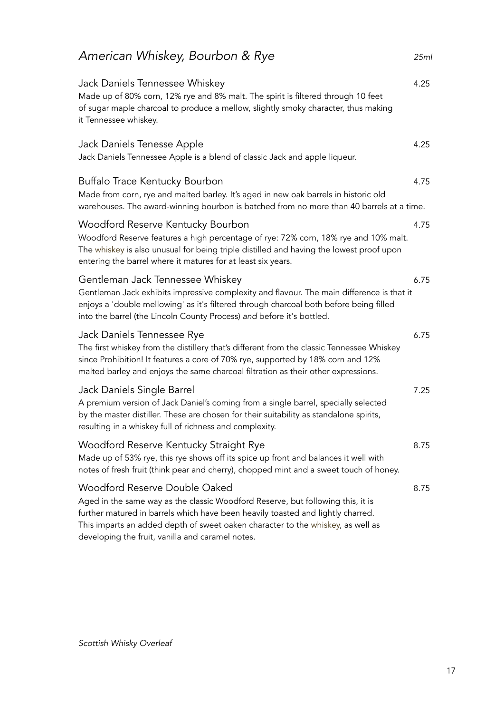| American Whiskey, Bourbon & Rye                                                                                                                                                                                                                                                                  | 25m  |
|--------------------------------------------------------------------------------------------------------------------------------------------------------------------------------------------------------------------------------------------------------------------------------------------------|------|
| Jack Daniels Tennessee Whiskey<br>Made up of 80% corn, 12% rye and 8% malt. The spirit is filtered through 10 feet<br>of sugar maple charcoal to produce a mellow, slightly smoky character, thus making<br>it Tennessee whiskey.                                                                | 4.25 |
| Jack Daniels Tenesse Apple<br>Jack Daniels Tennessee Apple is a blend of classic Jack and apple liqueur.                                                                                                                                                                                         | 4.25 |
| Buffalo Trace Kentucky Bourbon<br>Made from corn, rye and malted barley. It's aged in new oak barrels in historic old<br>warehouses. The award-winning bourbon is batched from no more than 40 barrels at a time.                                                                                | 4.75 |
| Woodford Reserve Kentucky Bourbon<br>Woodford Reserve features a high percentage of rye: 72% corn, 18% rye and 10% malt.<br>The whiskey is also unusual for being triple distilled and having the lowest proof upon<br>entering the barrel where it matures for at least six years.              | 4.75 |
| Gentleman Jack Tennessee Whiskey<br>Gentleman Jack exhibits impressive complexity and flavour. The main difference is that it<br>enjoys a 'double mellowing' as it's filtered through charcoal both before being filled<br>into the barrel (the Lincoln County Process) and before it's bottled. | 6.75 |
| Jack Daniels Tennessee Rye<br>The first whiskey from the distillery that's different from the classic Tennessee Whiskey<br>since Prohibition! It features a core of 70% rye, supported by 18% corn and 12%<br>malted barley and enjoys the same charcoal filtration as their other expressions.  | 6.75 |
| Jack Daniels Single Barrel<br>A premium version of Jack Daniel's coming from a single barrel, specially selected<br>by the master distiller. These are chosen for their suitability as standalone spirits,<br>resulting in a whiskey full of richness and complexity.                            | 7.25 |
| Woodford Reserve Kentucky Straight Rye<br>Made up of 53% rye, this rye shows off its spice up front and balances it well with<br>notes of fresh fruit (think pear and cherry), chopped mint and a sweet touch of honey.                                                                          | 8.75 |
| Woodford Reserve Double Oaked<br>Aged in the same way as the classic Woodford Reserve, but following this, it is<br>further matured in barrels which have been heavily toasted and lightly charred.<br>This imparts an added depth of sweet oaken character to the whiskey, as well as           | 8.75 |

developing the fruit, vanilla and caramel notes.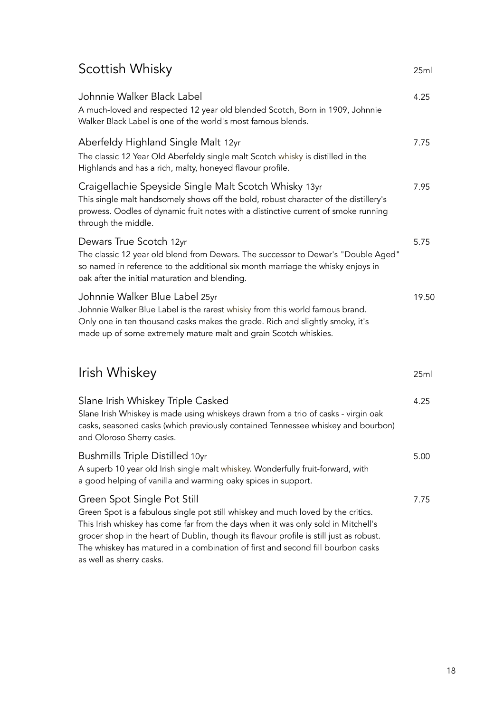## Scottish Whisky 25ml

| Johnnie Walker Black Label<br>A much-loved and respected 12 year old blended Scotch, Born in 1909, Johnnie<br>Walker Black Label is one of the world's most famous blends.                                                                                                                                                                                                                                     | 4.25  |
|----------------------------------------------------------------------------------------------------------------------------------------------------------------------------------------------------------------------------------------------------------------------------------------------------------------------------------------------------------------------------------------------------------------|-------|
| Aberfeldy Highland Single Malt 12yr<br>The classic 12 Year Old Aberfeldy single malt Scotch whisky is distilled in the<br>Highlands and has a rich, malty, honeyed flavour profile.                                                                                                                                                                                                                            | 7.75  |
| Craigellachie Speyside Single Malt Scotch Whisky 13yr<br>This single malt handsomely shows off the bold, robust character of the distillery's<br>prowess. Oodles of dynamic fruit notes with a distinctive current of smoke running<br>through the middle.                                                                                                                                                     | 7.95  |
| Dewars True Scotch 12yr<br>The classic 12 year old blend from Dewars. The successor to Dewar's "Double Aged"<br>so named in reference to the additional six month marriage the whisky enjoys in<br>oak after the initial maturation and blending.                                                                                                                                                              | 5.75  |
| Johnnie Walker Blue Label 25yr<br>Johnnie Walker Blue Label is the rarest whisky from this world famous brand.<br>Only one in ten thousand casks makes the grade. Rich and slightly smoky, it's<br>made up of some extremely mature malt and grain Scotch whiskies.                                                                                                                                            | 19.50 |
| Irish Whiskey                                                                                                                                                                                                                                                                                                                                                                                                  | 25ml  |
| Slane Irish Whiskey Triple Casked<br>Slane Irish Whiskey is made using whiskeys drawn from a trio of casks - virgin oak<br>casks, seasoned casks (which previously contained Tennessee whiskey and bourbon)<br>and Oloroso Sherry casks.                                                                                                                                                                       | 4.25  |
| <b>Bushmills Triple Distilled 10yr</b><br>A superb 10 year old Irish single malt whiskey. Wonderfully fruit-forward, with<br>a good helping of vanilla and warming oaky spices in support.                                                                                                                                                                                                                     | 5.00  |
| Green Spot Single Pot Still<br>Green Spot is a fabulous single pot still whiskey and much loved by the critics.<br>This Irish whiskey has come far from the days when it was only sold in Mitchell's<br>grocer shop in the heart of Dublin, though its flavour profile is still just as robust.<br>The whiskey has matured in a combination of first and second fill bourbon casks<br>as well as sherry casks. | 7.75  |

18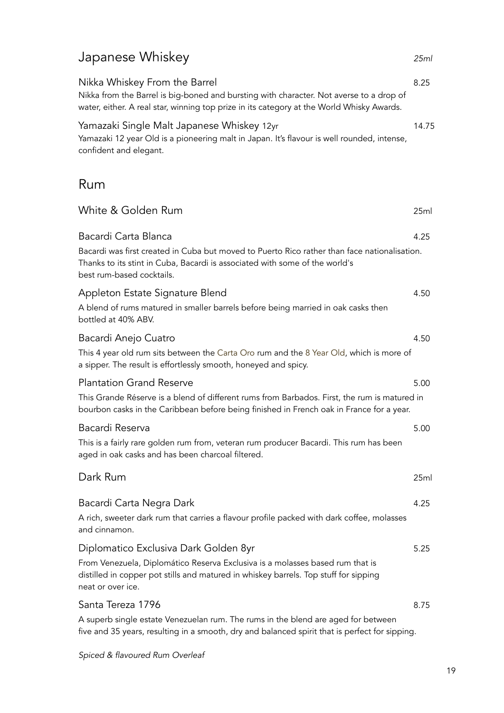## Japanese Whiskey *25ml*

| Nikka Whiskey From the Barrel<br>Nikka from the Barrel is big-boned and bursting with character. Not averse to a drop of<br>water, either. A real star, winning top prize in its category at the World Whisky Awards. | 8.25  |  |
|-----------------------------------------------------------------------------------------------------------------------------------------------------------------------------------------------------------------------|-------|--|
| Yamazaki Single Malt Japanese Whiskey 12yr<br>Yamazaki 12 year Old is a pioneering malt in Japan. It's flavour is well rounded, intense,<br>confident and elegant.                                                    | 14.75 |  |
| Rum                                                                                                                                                                                                                   |       |  |
| White & Golden Rum                                                                                                                                                                                                    | 25ml  |  |
| Bacardi Carta Blanca                                                                                                                                                                                                  | 4.25  |  |
| Bacardi was first created in Cuba but moved to Puerto Rico rather than face nationalisation.<br>Thanks to its stint in Cuba, Bacardi is associated with some of the world's<br>best rum-based cocktails.              |       |  |
| Appleton Estate Signature Blend<br>A blend of rums matured in smaller barrels before being married in oak casks then<br>bottled at 40% ABV.                                                                           | 4.50  |  |
| Bacardi Anejo Cuatro                                                                                                                                                                                                  | 4.50  |  |
| This 4 year old rum sits between the Carta Oro rum and the 8 Year Old, which is more of<br>a sipper. The result is effortlessly smooth, honeyed and spicy.                                                            |       |  |
| <b>Plantation Grand Reserve</b>                                                                                                                                                                                       | 5.00  |  |
| This Grande Réserve is a blend of different rums from Barbados. First, the rum is matured in<br>bourbon casks in the Caribbean before being finished in French oak in France for a year.                              |       |  |
| Bacardi Reserva                                                                                                                                                                                                       | 5.00  |  |
| This is a fairly rare golden rum from, veteran rum producer Bacardi. This rum has been<br>aged in oak casks and has been charcoal filtered.                                                                           |       |  |
| Dark Rum                                                                                                                                                                                                              | 25ml  |  |
| Bacardi Carta Negra Dark                                                                                                                                                                                              | 4.25  |  |
| A rich, sweeter dark rum that carries a flavour profile packed with dark coffee, molasses<br>and cinnamon.                                                                                                            |       |  |
| Diplomatico Exclusiva Dark Golden 8yr                                                                                                                                                                                 | 5.25  |  |
| From Venezuela, Diplomático Reserva Exclusiva is a molasses based rum that is<br>distilled in copper pot stills and matured in whiskey barrels. Top stuff for sipping<br>neat or over ice.                            |       |  |
| Santa Tereza 1796                                                                                                                                                                                                     | 8.75  |  |
| A superb single estate Venezuelan rum. The rums in the blend are aged for between<br>five and 35 years, resulting in a smooth, dry and balanced spirit that is perfect for sipping.                                   |       |  |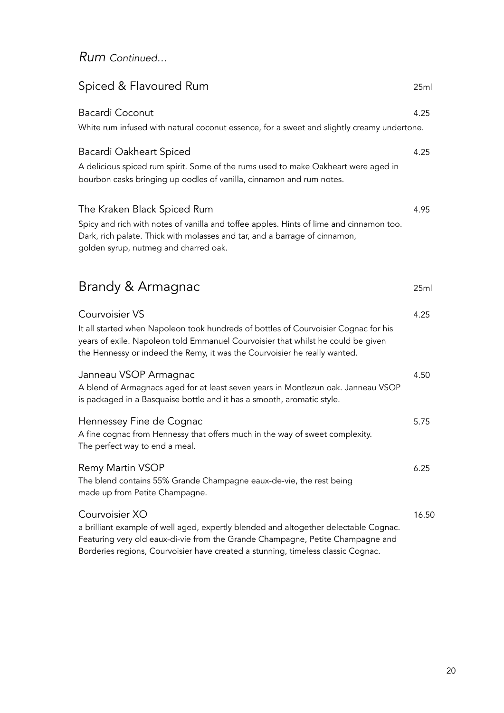#### *Rum Continued…*

| Spiced & Flavoured Rum                                                                                                                                                                                                                                                       | 25ml  |
|------------------------------------------------------------------------------------------------------------------------------------------------------------------------------------------------------------------------------------------------------------------------------|-------|
| <b>Bacardi Coconut</b><br>White rum infused with natural coconut essence, for a sweet and slightly creamy undertone.                                                                                                                                                         | 4.25  |
| Bacardi Oakheart Spiced<br>A delicious spiced rum spirit. Some of the rums used to make Oakheart were aged in<br>bourbon casks bringing up oodles of vanilla, cinnamon and rum notes.                                                                                        | 4.25  |
| The Kraken Black Spiced Rum<br>Spicy and rich with notes of vanilla and toffee apples. Hints of lime and cinnamon too.<br>Dark, rich palate. Thick with molasses and tar, and a barrage of cinnamon,<br>golden syrup, nutmeg and charred oak.                                | 4.95  |
| Brandy & Armagnac                                                                                                                                                                                                                                                            | 25ml  |
| Courvoisier VS<br>It all started when Napoleon took hundreds of bottles of Courvoisier Cognac for his<br>years of exile. Napoleon told Emmanuel Courvoisier that whilst he could be given<br>the Hennessy or indeed the Remy, it was the Courvoisier he really wanted.       | 4.25  |
| Janneau VSOP Armagnac<br>A blend of Armagnacs aged for at least seven years in Montlezun oak. Janneau VSOP<br>is packaged in a Basquaise bottle and it has a smooth, aromatic style.                                                                                         | 4.50  |
| Hennessey Fine de Cognac<br>A fine cognac from Hennessy that offers much in the way of sweet complexity.<br>The perfect way to end a meal.                                                                                                                                   | 5.75  |
| Remy Martin VSOP<br>The blend contains 55% Grande Champagne eaux-de-vie, the rest being<br>made up from Petite Champagne.                                                                                                                                                    | 6.25  |
| Courvoisier XO<br>a brilliant example of well aged, expertly blended and altogether delectable Cognac.<br>Featuring very old eaux-di-vie from the Grande Champagne, Petite Champagne and<br>Borderies regions, Courvoisier have created a stunning, timeless classic Cognac. | 16.50 |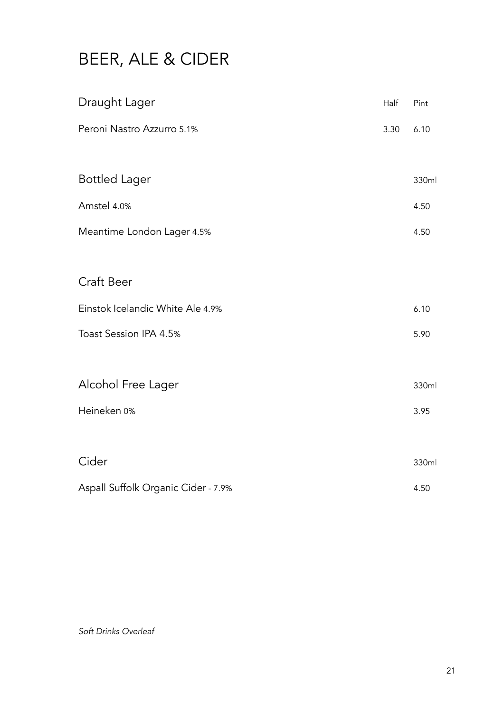# BEER, ALE & CIDER

| Draught Lager                       | Half | Pint  |
|-------------------------------------|------|-------|
| Peroni Nastro Azzurro 5.1%          | 3.30 | 6.10  |
| <b>Bottled Lager</b>                |      | 330ml |
| Amstel 4.0%                         |      | 4.50  |
| Meantime London Lager 4.5%          |      | 4.50  |
|                                     |      |       |
| Craft Beer                          |      |       |
| Einstok Icelandic White Ale 4.9%    |      | 6.10  |
| Toast Session IPA 4.5%              |      | 5.90  |
|                                     |      |       |
| Alcohol Free Lager                  |      | 330ml |
| Heineken 0%                         |      | 3.95  |
|                                     |      |       |
| Cider                               |      | 330ml |
| Aspall Suffolk Organic Cider - 7.9% |      | 4.50  |

*Soft Drinks Overleaf*